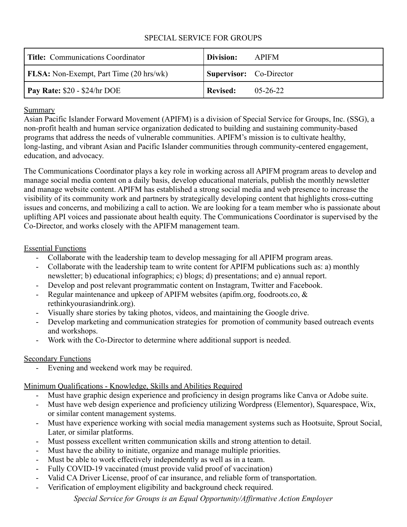#### SPECIAL SERVICE FOR GROUPS

| <b>Title:</b> Communications Coordinator       | Division:                      | <b>APIFM</b>   |
|------------------------------------------------|--------------------------------|----------------|
| <b>FLSA:</b> Non-Exempt, Part Time (20 hrs/wk) | <b>Supervisor:</b> Co-Director |                |
| $\vert$ Pay Rate: \$20 - \$24/hr DOE           | Revised:                       | $05 - 26 - 22$ |

### Summary

Asian Pacific Islander Forward Movement (APIFM) is a division of Special Service for Groups, Inc. (SSG), a non-profit health and human service organization dedicated to building and sustaining community-based programs that address the needs of vulnerable communities. APIFM's mission is to cultivate healthy, long-lasting, and vibrant Asian and Pacific Islander communities through community-centered engagement, education, and advocacy.

The Communications Coordinator plays a key role in working across all APIFM program areas to develop and manage social media content on a daily basis, develop educational materials, publish the monthly newsletter and manage website content. APIFM has established a strong social media and web presence to increase the visibility of its community work and partners by strategically developing content that highlights cross-cutting issues and concerns, and mobilizing a call to action. We are looking for a team member who is passionate about uplifting API voices and passionate about health equity. The Communications Coordinator is supervised by the Co-Director, and works closely with the APIFM management team.

# Essential Functions

- Collaborate with the leadership team to develop messaging for all APIFM program areas.
- Collaborate with the leadership team to write content for APIFM publications such as: a) monthly newsletter; b) educational infographics; c) blogs; d) presentations; and e) annual report.
- Develop and post relevant programmatic content on Instagram, Twitter and Facebook.
- Regular maintenance and upkeep of APIFM websites (apifm.org, foodroots.co, & rethinkyourasiandrink.org).
- Visually share stories by taking photos, videos, and maintaining the Google drive.
- Develop marketing and communication strategies for promotion of community based outreach events and workshops.
- Work with the Co-Director to determine where additional support is needed.

# Secondary Functions

Evening and weekend work may be required.

# Minimum Qualifications - Knowledge, Skills and Abilities Required

- Must have graphic design experience and proficiency in design programs like Canva or Adobe suite.
- Must have web design experience and proficiency utilizing Wordpress (Elementor), Squarespace, Wix, or similar content management systems.
- Must have experience working with social media management systems such as Hootsuite, Sprout Social, Later, or similar platforms.
- Must possess excellent written communication skills and strong attention to detail.
- Must have the ability to initiate, organize and manage multiple priorities.
- Must be able to work effectively independently as well as in a team.
- Fully COVID-19 vaccinated (must provide valid proof of vaccination)
- Valid CA Driver License, proof of car insurance, and reliable form of transportation.
- Verification of employment eligibility and background check required.

*Special Service for Groups is an Equal Opportunity/Affirmative Action Employer*